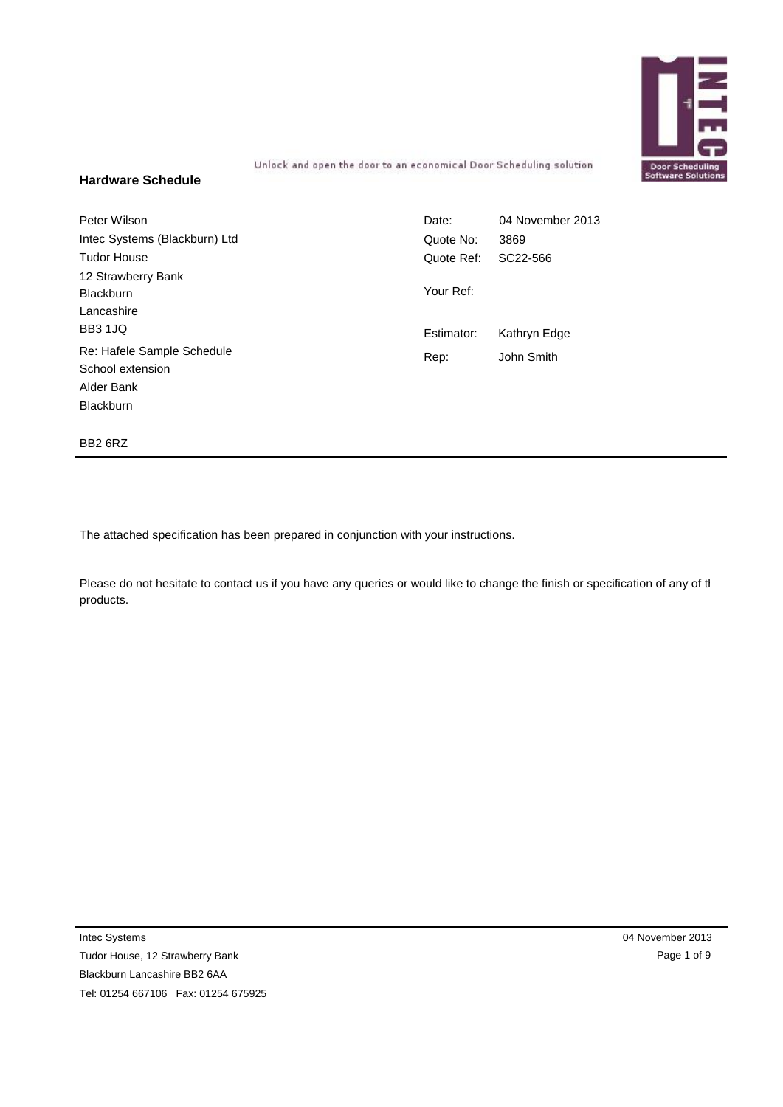

Unlock and open the door to an economical Door Scheduling solution

#### **Hardware Schedule**

| Peter Wilson                  | Date:      | 04 November 2013 |
|-------------------------------|------------|------------------|
| Intec Systems (Blackburn) Ltd | Quote No:  | 3869             |
| <b>Tudor House</b>            | Quote Ref: | SC22-566         |
| 12 Strawberry Bank            |            |                  |
| <b>Blackburn</b>              | Your Ref:  |                  |
| Lancashire                    |            |                  |
| <b>BB3 1JQ</b>                | Estimator: | Kathryn Edge     |
| Re: Hafele Sample Schedule    | Rep:       | John Smith       |
| School extension              |            |                  |
| Alder Bank                    |            |                  |
| <b>Blackburn</b>              |            |                  |

BB2 6RZ

The attached specification has been prepared in conjunction with your instructions.

Please do not hesitate to contact us if you have any queries or would like to change the finish or specification of any of the products.

Intec Systems

Tudor House, 12 Strawberry Bank Blackburn Lancashire BB2 6AA Tel: 01254 667106 Fax: 01254 675925 04 November 2013 Page 1 of 9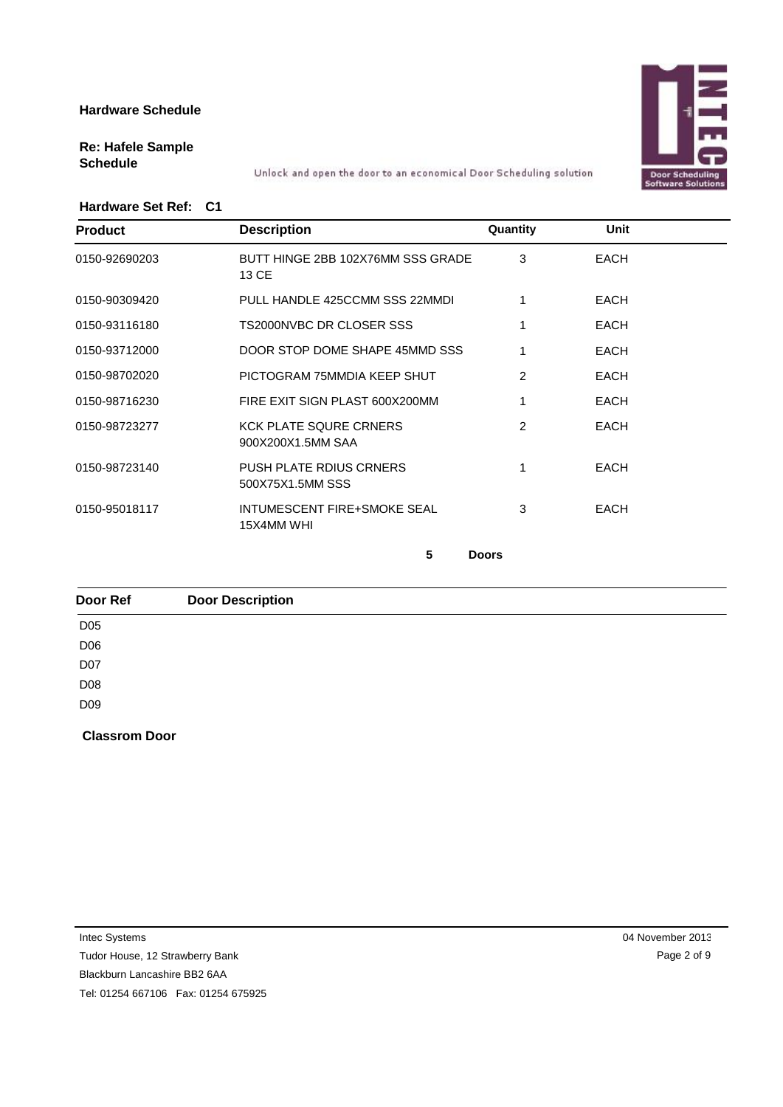

## **Re: Hafele Sample**

**Schedule** Unlock and open the door to an economical Door Scheduling solution

#### **Hardware Set Ref: C1**

| <b>Product</b> | <b>Description</b>                                 | Quantity | Unit        |
|----------------|----------------------------------------------------|----------|-------------|
| 0150-92690203  | BUTT HINGE 2BB 102X76MM SSS GRADE<br>13 CE         | 3        | <b>EACH</b> |
| 0150-90309420  | PULL HANDLE 425CCMM SSS 22MMDI                     |          | <b>EACH</b> |
| 0150-93116180  | TS2000NVBC DR CLOSER SSS                           |          | <b>EACH</b> |
| 0150-93712000  | DOOR STOP DOME SHAPE 45MMD SSS                     |          | <b>EACH</b> |
| 0150-98702020  | PICTOGRAM 75MMDIA KEEP SHUT                        | 2        | EACH        |
| 0150-98716230  | FIRE EXIT SIGN PLAST 600X200MM                     |          | <b>EACH</b> |
| 0150-98723277  | <b>KCK PLATE SQURE CRNERS</b><br>900X200X1.5MM SAA | 2        | <b>EACH</b> |
| 0150-98723140  | <b>PUSH PLATE RDIUS CRNERS</b><br>500X75X1.5MM SSS |          | <b>EACH</b> |
| 0150-95018117  | INTUMESCENT FIRE+SMOKE SEAL<br>15X4MM WHI          | 3        | <b>EACH</b> |
|                |                                                    |          |             |

**5 Doors**

**Classrom Door Door Ref Door Description** D05 D06 D<sub>07</sub> D08 D09

Intec Systems

Tudor House, 12 Strawberry Bank

Blackburn Lancashire BB2 6AA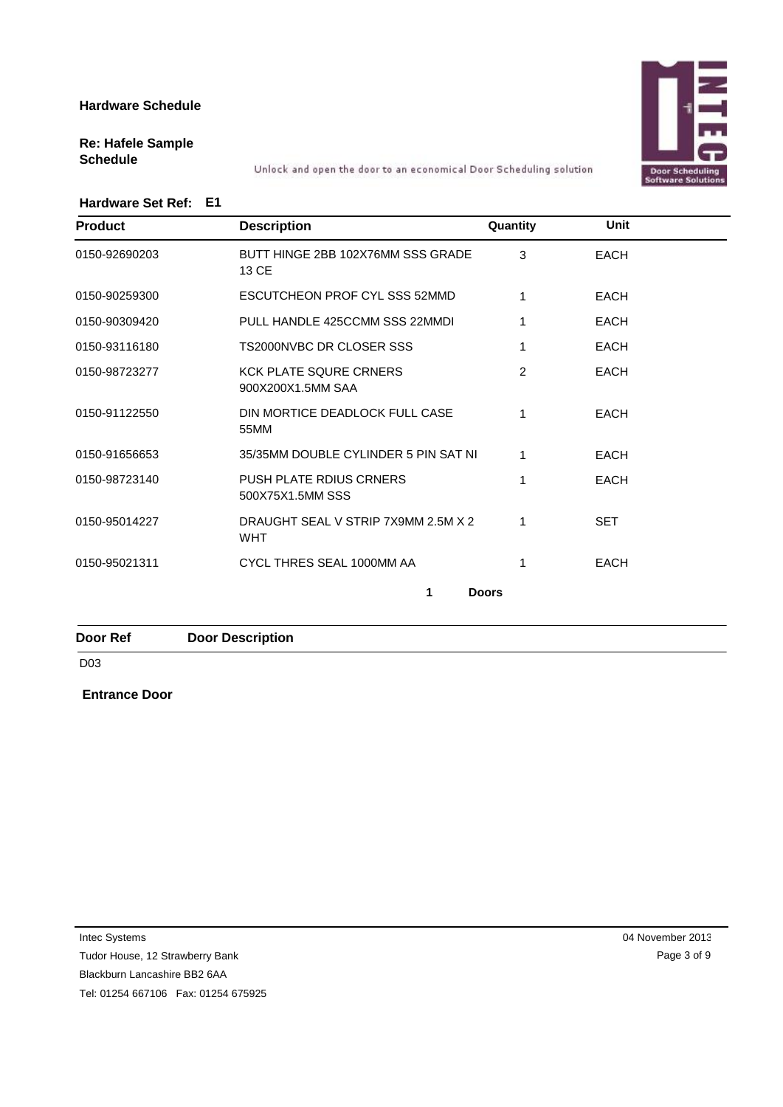# Door Scheduli<br>Software Soluti

# **Re: Hafele Sample**

**Schedule** Unlock and open the door to an economical Door Scheduling solution

#### **Hardware Set Ref: E1**

| <b>Product</b> | <b>Description</b>                                 | Quantity      | <b>Unit</b> |  |
|----------------|----------------------------------------------------|---------------|-------------|--|
| 0150-92690203  | BUTT HINGE 2BB 102X76MM SSS GRADE<br>13 CE         | 3             | <b>EACH</b> |  |
| 0150-90259300  | ESCUTCHEON PROF CYL SSS 52MMD                      |               | <b>EACH</b> |  |
| 0150-90309420  | PULL HANDLE 425CCMM SSS 22MMDI                     | 1             | <b>EACH</b> |  |
| 0150-93116180  | TS2000NVBC DR CLOSER SSS                           |               | <b>EACH</b> |  |
| 0150-98723277  | <b>KCK PLATE SQURE CRNERS</b><br>900X200X1.5MM SAA | $\mathcal{P}$ | <b>EACH</b> |  |
| 0150-91122550  | DIN MORTICE DEADLOCK FULL CASE<br>55MM             | 1             | <b>EACH</b> |  |
| 0150-91656653  | 35/35MM DOUBLE CYLINDER 5 PIN SAT NI               |               | <b>EACH</b> |  |
| 0150-98723140  | <b>PUSH PLATE RDIUS CRNERS</b><br>500X75X1.5MM SSS |               | <b>EACH</b> |  |
| 0150-95014227  | DRAUGHT SEAL V STRIP 7X9MM 2.5M X 2<br><b>WHT</b>  |               | <b>SET</b>  |  |
|                |                                                    |               | <b>EACH</b> |  |

**Door Ref Door Description**

D03

**Entrance Door**

Intec Systems

Tudor House, 12 Strawberry Bank

Blackburn Lancashire BB2 6AA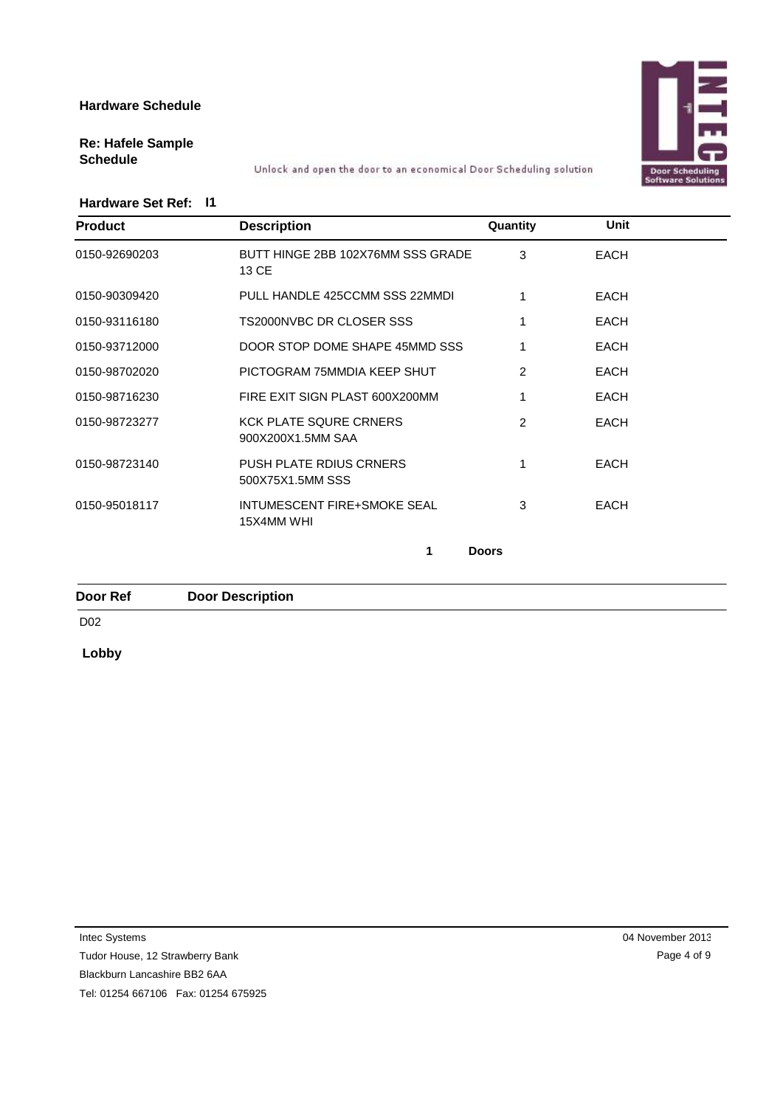

# **Re: Hafele Sample**

**Schedule** Unlock and open the door to an economical Door Scheduling solution

#### **Hardware Set Ref: I1**

| <b>Product</b> | <b>Description</b>                                 | Quantity      | <b>Unit</b> |  |
|----------------|----------------------------------------------------|---------------|-------------|--|
| 0150-92690203  | BUTT HINGE 2BB 102X76MM SSS GRADE<br>13 CE         | 3             | <b>EACH</b> |  |
| 0150-90309420  | PULL HANDLE 425CCMM SSS 22MMDI                     |               | <b>EACH</b> |  |
| 0150-93116180  | TS2000NVBC DR CLOSER SSS                           |               | <b>EACH</b> |  |
| 0150-93712000  | DOOR STOP DOME SHAPE 45MMD SSS                     |               | <b>EACH</b> |  |
| 0150-98702020  | PICTOGRAM 75MMDIA KEEP SHUT                        | 2             | <b>EACH</b> |  |
| 0150-98716230  | FIRE EXIT SIGN PLAST 600X200MM                     |               | <b>EACH</b> |  |
| 0150-98723277  | <b>KCK PLATE SQURE CRNERS</b><br>900X200X1.5MM SAA | $\mathcal{P}$ | <b>EACH</b> |  |
| 0150-98723140  | <b>PUSH PLATE RDIUS CRNERS</b><br>500X75X1.5MM SSS |               | <b>EACH</b> |  |
| 0150-95018117  | INTUMESCENT FIRE+SMOKE SEAL<br>15X4MM WHI          | 3             | <b>EACH</b> |  |
|                | 1                                                  | <b>Doors</b>  |             |  |

**Door Ref Door Description**

D02

**Lobby**

Intec Systems

Tudor House, 12 Strawberry Bank

Blackburn Lancashire BB2 6AA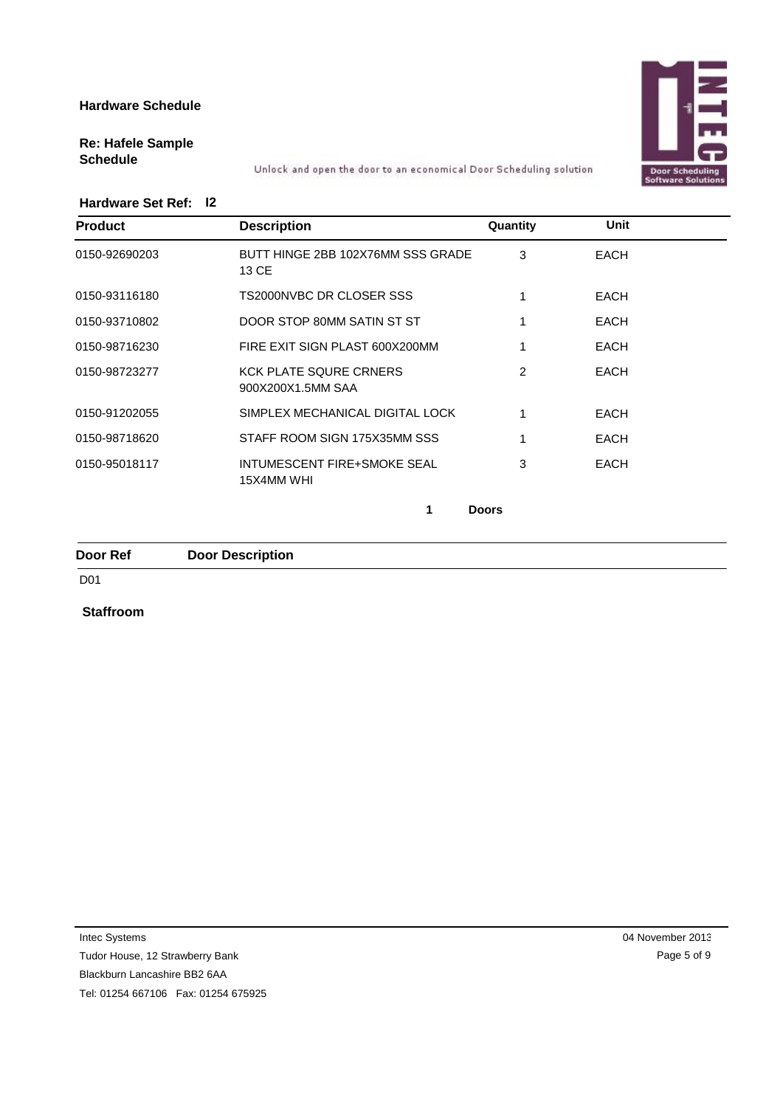

# **Re: Hafele Sample**

**Schedule** Unlock and open the door to an economical Door Scheduling solution

#### **Hardware Set Ref: I2**

| <b>Product</b> | <b>Description</b>                                 | Quantity     | Unit        |  |
|----------------|----------------------------------------------------|--------------|-------------|--|
| 0150-92690203  | BUTT HINGE 2BB 102X76MM SSS GRADE<br>13 CE         | 3            | <b>EACH</b> |  |
| 0150-93116180  | TS2000NVBC DR CLOSER SSS                           |              | <b>EACH</b> |  |
| 0150-93710802  | DOOR STOP 80MM SATIN ST ST                         |              | <b>EACH</b> |  |
| 0150-98716230  | FIRE EXIT SIGN PLAST 600X200MM                     |              | <b>EACH</b> |  |
| 0150-98723277  | <b>KCK PLATE SQURE CRNERS</b><br>900X200X1.5MM SAA | 2            | <b>EACH</b> |  |
| 0150-91202055  | SIMPLEX MECHANICAL DIGITAL LOCK                    |              | <b>EACH</b> |  |
| 0150-98718620  | STAFF ROOM SIGN 175X35MM SSS                       |              | <b>EACH</b> |  |
| 0150-95018117  | <b>INTUMESCENT FIRE+SMOKE SEAL</b><br>15X4MM WHI   | 3            | <b>EACH</b> |  |
|                |                                                    | <b>Doors</b> |             |  |

#### **Door Ref Door Description**

#### D01

#### **Staffroom**

Intec Systems

Tudor House, 12 Strawberry Bank

Blackburn Lancashire BB2 6AA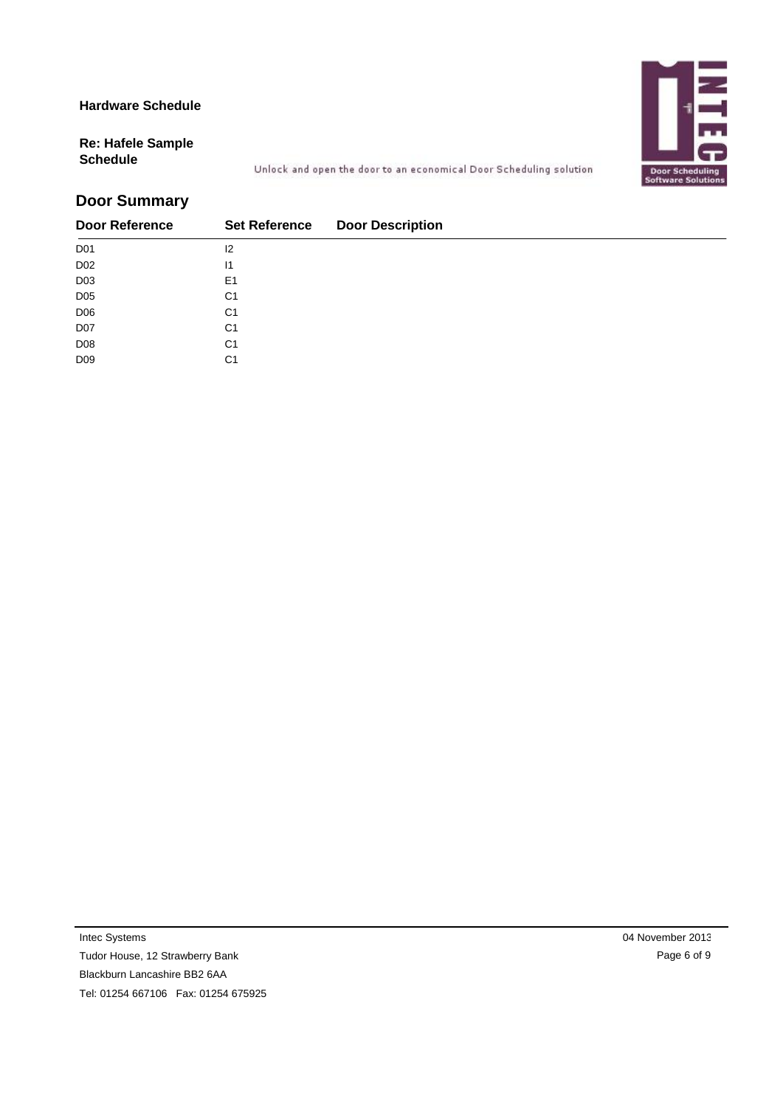Door Scheduling<br>Software Solution

# **Re: Hafele Sample**

**Schedule** Unlock and open the door to an economical Door Scheduling solution

## **Door Summary**

| <b>Door Reference</b> | <b>Set Reference</b> | <b>Door Description</b> |
|-----------------------|----------------------|-------------------------|
| D <sub>01</sub>       | 12                   |                         |
| D <sub>02</sub>       | $\mathsf{I}$         |                         |
| D <sub>03</sub>       | E <sub>1</sub>       |                         |
| D <sub>05</sub>       | C <sub>1</sub>       |                         |
| D <sub>06</sub>       | C <sub>1</sub>       |                         |
| D07                   | C <sub>1</sub>       |                         |
| D <sub>08</sub>       | C <sub>1</sub>       |                         |
| D <sub>09</sub>       | C <sub>1</sub>       |                         |

Intec Systems

Tudor House, 12 Strawberry Bank

Blackburn Lancashire BB2 6AA

Tel: 01254 667106 Fax: 01254 675925

04 November 2013 Page 6 of 9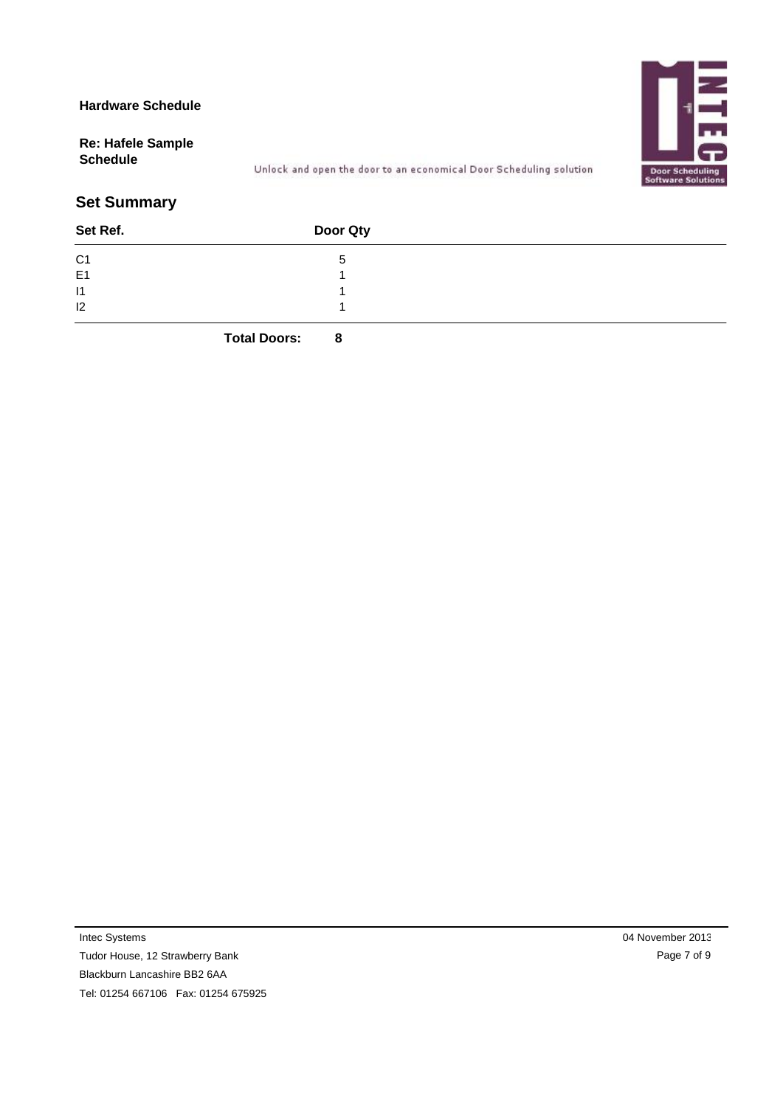**Re: Hafele Sample**



## **Schedule** Unlock and open the door to an economical Door Scheduling solution

## **Set Summary**

| Set Ref.       | Door Qty |  |
|----------------|----------|--|
| C <sub>1</sub> |          |  |
| E <sub>1</sub> |          |  |
| 11             |          |  |
| 12             |          |  |
|                |          |  |

**Total Doors: 8**

Intec Systems

Tudor House, 12 Strawberry Bank Blackburn Lancashire BB2 6AA

Tel: 01254 667106 Fax: 01254 675925

04 November 2013 Page 7 of 9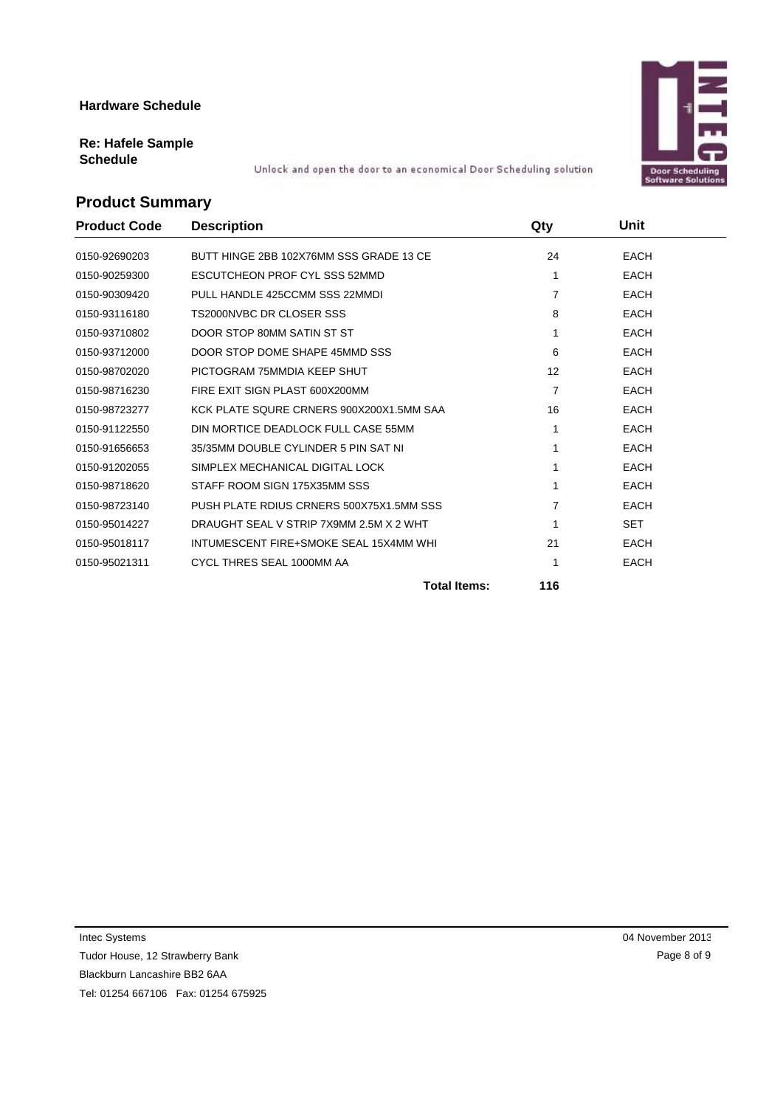# **Re: Hafele Sample**

**Schedule** Unlock and open the door to an economical Door Scheduling solution

## **Product Summary**

| <b>Product Code</b> | <b>Description</b>                       | Qty               | Unit        |
|---------------------|------------------------------------------|-------------------|-------------|
| 0150-92690203       | BUTT HINGE 2BB 102X76MM SSS GRADE 13 CE  | 24                | <b>EACH</b> |
| 0150-90259300       | <b>ESCUTCHEON PROF CYL SSS 52MMD</b>     | 1                 | <b>EACH</b> |
| 0150-90309420       | PULL HANDLE 425CCMM SSS 22MMDI           | $\overline{7}$    | <b>EACH</b> |
| 0150-93116180       | TS2000NVBC DR CLOSER SSS                 | 8                 | <b>EACH</b> |
| 0150-93710802       | DOOR STOP 80MM SATIN ST ST               | 1                 | <b>EACH</b> |
| 0150-93712000       | DOOR STOP DOME SHAPE 45MMD SSS           | 6                 | <b>EACH</b> |
| 0150-98702020       | PICTOGRAM 75MMDIA KEEP SHUT              | $12 \overline{ }$ | <b>EACH</b> |
| 0150-98716230       | FIRE EXIT SIGN PLAST 600X200MM           | 7                 | <b>EACH</b> |
| 0150-98723277       | KCK PLATE SQURE CRNERS 900X200X1.5MM SAA | 16                | <b>EACH</b> |
| 0150-91122550       | DIN MORTICE DEADLOCK FULL CASE 55MM      |                   | <b>EACH</b> |
| 0150-91656653       | 35/35MM DOUBLE CYLINDER 5 PIN SAT NI     |                   | <b>EACH</b> |
| 0150-91202055       | SIMPLEX MECHANICAL DIGITAL LOCK          |                   | <b>EACH</b> |
| 0150-98718620       | STAFF ROOM SIGN 175X35MM SSS             |                   | <b>EACH</b> |
| 0150-98723140       | PUSH PLATE RDIUS CRNERS 500X75X1.5MM SSS | 7                 | <b>EACH</b> |
| 0150-95014227       | DRAUGHT SEAL V STRIP 7X9MM 2.5M X 2 WHT  |                   | <b>SET</b>  |
| 0150-95018117       | INTUMESCENT FIRE+SMOKE SEAL 15X4MM WHI   | 21                | <b>EACH</b> |
| 0150-95021311       | CYCL THRES SEAL 1000MM AA                |                   | <b>EACH</b> |
|                     | <b>Total Items:</b>                      | 116               |             |

Tudor House, 12 Strawberry Bank

Blackburn Lancashire BB2 6AA